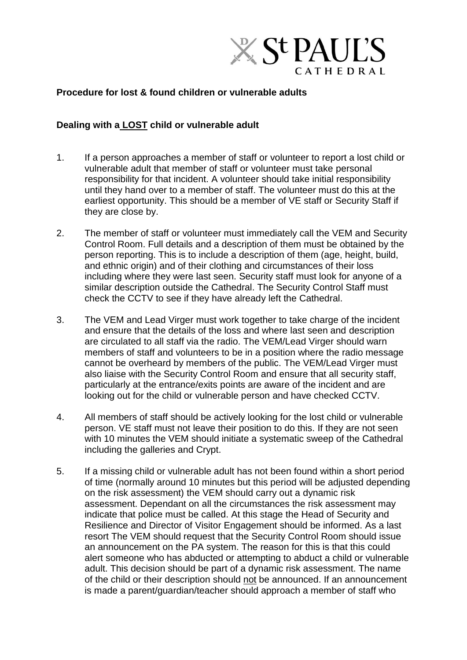

### **Procedure for lost & found children or vulnerable adults**

#### **Dealing with a LOST child or vulnerable adult**

- 1. If a person approaches a member of staff or volunteer to report a lost child or vulnerable adult that member of staff or volunteer must take personal responsibility for that incident. A volunteer should take initial responsibility until they hand over to a member of staff. The volunteer must do this at the earliest opportunity. This should be a member of VE staff or Security Staff if they are close by.
- 2. The member of staff or volunteer must immediately call the VEM and Security Control Room. Full details and a description of them must be obtained by the person reporting. This is to include a description of them (age, height, build, and ethnic origin) and of their clothing and circumstances of their loss including where they were last seen. Security staff must look for anyone of a similar description outside the Cathedral. The Security Control Staff must check the CCTV to see if they have already left the Cathedral.
- 3. The VEM and Lead Virger must work together to take charge of the incident and ensure that the details of the loss and where last seen and description are circulated to all staff via the radio. The VEM/Lead Virger should warn members of staff and volunteers to be in a position where the radio message cannot be overheard by members of the public. The VEM/Lead Virger must also liaise with the Security Control Room and ensure that all security staff, particularly at the entrance/exits points are aware of the incident and are looking out for the child or vulnerable person and have checked CCTV.
- 4. All members of staff should be actively looking for the lost child or vulnerable person. VE staff must not leave their position to do this. If they are not seen with 10 minutes the VEM should initiate a systematic sweep of the Cathedral including the galleries and Crypt.
- 5. If a missing child or vulnerable adult has not been found within a short period of time (normally around 10 minutes but this period will be adjusted depending on the risk assessment) the VEM should carry out a dynamic risk assessment. Dependant on all the circumstances the risk assessment may indicate that police must be called. At this stage the Head of Security and Resilience and Director of Visitor Engagement should be informed. As a last resort The VEM should request that the Security Control Room should issue an announcement on the PA system. The reason for this is that this could alert someone who has abducted or attempting to abduct a child or vulnerable adult. This decision should be part of a dynamic risk assessment. The name of the child or their description should not be announced. If an announcement is made a parent/guardian/teacher should approach a member of staff who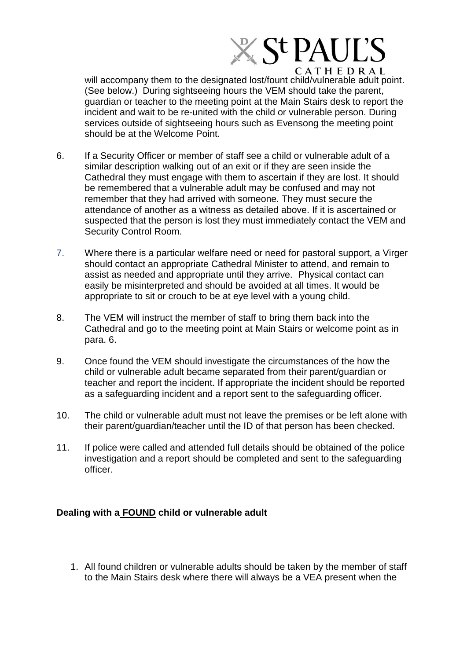# **X St PAUL'S** CATHEDRAL

will accompany them to the designated lost/fount child/vulnerable adult point. (See below.) During sightseeing hours the VEM should take the parent, guardian or teacher to the meeting point at the Main Stairs desk to report the incident and wait to be re-united with the child or vulnerable person. During services outside of sightseeing hours such as Evensong the meeting point should be at the Welcome Point.

- 6. If a Security Officer or member of staff see a child or vulnerable adult of a similar description walking out of an exit or if they are seen inside the Cathedral they must engage with them to ascertain if they are lost. It should be remembered that a vulnerable adult may be confused and may not remember that they had arrived with someone. They must secure the attendance of another as a witness as detailed above. If it is ascertained or suspected that the person is lost they must immediately contact the VEM and Security Control Room.
- 7. Where there is a particular welfare need or need for pastoral support, a Virger should contact an appropriate Cathedral Minister to attend, and remain to assist as needed and appropriate until they arrive. Physical contact can easily be misinterpreted and should be avoided at all times. It would be appropriate to sit or crouch to be at eye level with a young child.
- 8. The VEM will instruct the member of staff to bring them back into the Cathedral and go to the meeting point at Main Stairs or welcome point as in para. 6.
- 9. Once found the VEM should investigate the circumstances of the how the child or vulnerable adult became separated from their parent/guardian or teacher and report the incident. If appropriate the incident should be reported as a safeguarding incident and a report sent to the safeguarding officer.
- 10. The child or vulnerable adult must not leave the premises or be left alone with their parent/guardian/teacher until the ID of that person has been checked.
- 11. If police were called and attended full details should be obtained of the police investigation and a report should be completed and sent to the safeguarding officer.

### **Dealing with a FOUND child or vulnerable adult**

1. All found children or vulnerable adults should be taken by the member of staff to the Main Stairs desk where there will always be a VEA present when the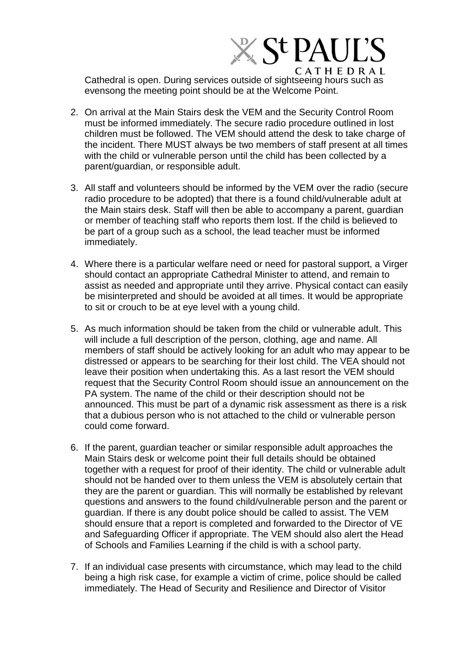## $X$  St PAUL'S CATHEDRAL

Cathedral is open. During services outside of sightseeing hours such as evensong the meeting point should be at the Welcome Point.

- 2. On arrival at the Main Stairs desk the VEM and the Security Control Room must be informed immediately. The secure radio procedure outlined in lost children must be followed. The VEM should attend the desk to take charge of the incident. There MUST always be two members of staff present at all times with the child or vulnerable person until the child has been collected by a parent/guardian, or responsible adult.
- 3. All staff and volunteers should be informed by the VEM over the radio (secure radio procedure to be adopted) that there is a found child/vulnerable adult at the Main stairs desk. Staff will then be able to accompany a parent, guardian or member of teaching staff who reports them lost. If the child is believed to be part of a group such as a school, the lead teacher must be informed immediately.
- 4. Where there is a particular welfare need or need for pastoral support, a Virger should contact an appropriate Cathedral Minister to attend, and remain to assist as needed and appropriate until they arrive. Physical contact can easily be misinterpreted and should be avoided at all times. It would be appropriate to sit or crouch to be at eye level with a young child.
- 5. As much information should be taken from the child or vulnerable adult. This will include a full description of the person, clothing, age and name. All members of staff should be actively looking for an adult who may appear to be distressed or appears to be searching for their lost child. The VEA should not leave their position when undertaking this. As a last resort the VEM should request that the Security Control Room should issue an announcement on the PA system. The name of the child or their description should not be announced. This must be part of a dynamic risk assessment as there is a risk that a dubious person who is not attached to the child or vulnerable person could come forward.
- 6. If the parent, guardian teacher or similar responsible adult approaches the Main Stairs desk or welcome point their full details should be obtained together with a request for proof of their identity. The child or vulnerable adult should not be handed over to them unless the VEM is absolutely certain that they are the parent or guardian. This will normally be established by relevant questions and answers to the found child/vulnerable person and the parent or guardian. If there is any doubt police should be called to assist. The VEM should ensure that a report is completed and forwarded to the Director of VE and Safeguarding Officer if appropriate. The VEM should also alert the Head of Schools and Families Learning if the child is with a school party.
- 7. If an individual case presents with circumstance, which may lead to the child being a high risk case, for example a victim of crime, police should be called immediately. The Head of Security and Resilience and Director of Visitor